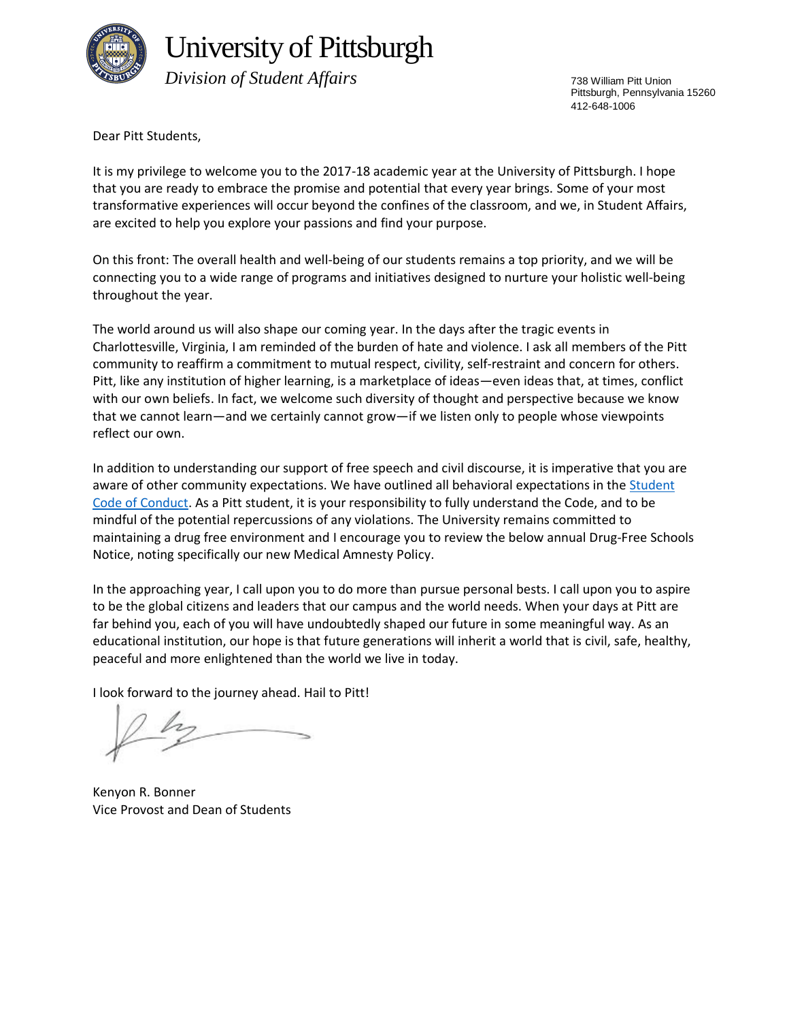

# University of Pittsburgh

 *Division of Student Affairs*

738 William Pitt Union Pittsburgh, Pennsylvania 15260 412-648-1006

Dear Pitt Students,

It is my privilege to welcome you to the 2017-18 academic year at the University of Pittsburgh. I hope that you are ready to embrace the promise and potential that every year brings. Some of your most transformative experiences will occur beyond the confines of the classroom, and we, in Student Affairs, are excited to help you explore your passions and find your purpose.

On this front: The overall health and well-being of our students remains a top priority, and we will be connecting you to a wide range of programs and initiatives designed to nurture your holistic well-being throughout the year.

The world around us will also shape our coming year. In the days after the tragic events in Charlottesville, Virginia, I am reminded of the burden of hate and violence. I ask all members of the Pitt community to reaffirm a commitment to mutual respect, civility, self-restraint and concern for others. Pitt, like any institution of higher learning, is a marketplace of ideas—even ideas that, at times, conflict with our own beliefs. In fact, we welcome such diversity of thought and perspective because we know that we cannot learn—and we certainly cannot grow—if we listen only to people whose viewpoints reflect our own.

In addition to understanding our support of free speech and civil discourse, it is imperative that you are aware of other community expectations. We have outlined all behavioral expectations in th[e Student](http://www.studentaffairs.pitt.edu/wp-content/uploads/2017/08/2017_Code_of_Conduct_Clean.pdf)  [Code of Conduct.](http://www.studentaffairs.pitt.edu/wp-content/uploads/2017/08/2017_Code_of_Conduct_Clean.pdf) As a Pitt student, it is your responsibility to fully understand the Code, and to be mindful of the potential repercussions of any violations. The University remains committed to maintaining a drug free environment and I encourage you to review the below annual Drug-Free Schools Notice, noting specifically our new Medical Amnesty Policy.

In the approaching year, I call upon you to do more than pursue personal bests. I call upon you to aspire to be the global citizens and leaders that our campus and the world needs. When your days at Pitt are far behind you, each of you will have undoubtedly shaped our future in some meaningful way. As an educational institution, our hope is that future generations will inherit a world that is civil, safe, healthy, peaceful and more enlightened than the world we live in today.

I look forward to the journey ahead. Hail to Pitt!

Kenyon R. Bonner Vice Provost and Dean of Students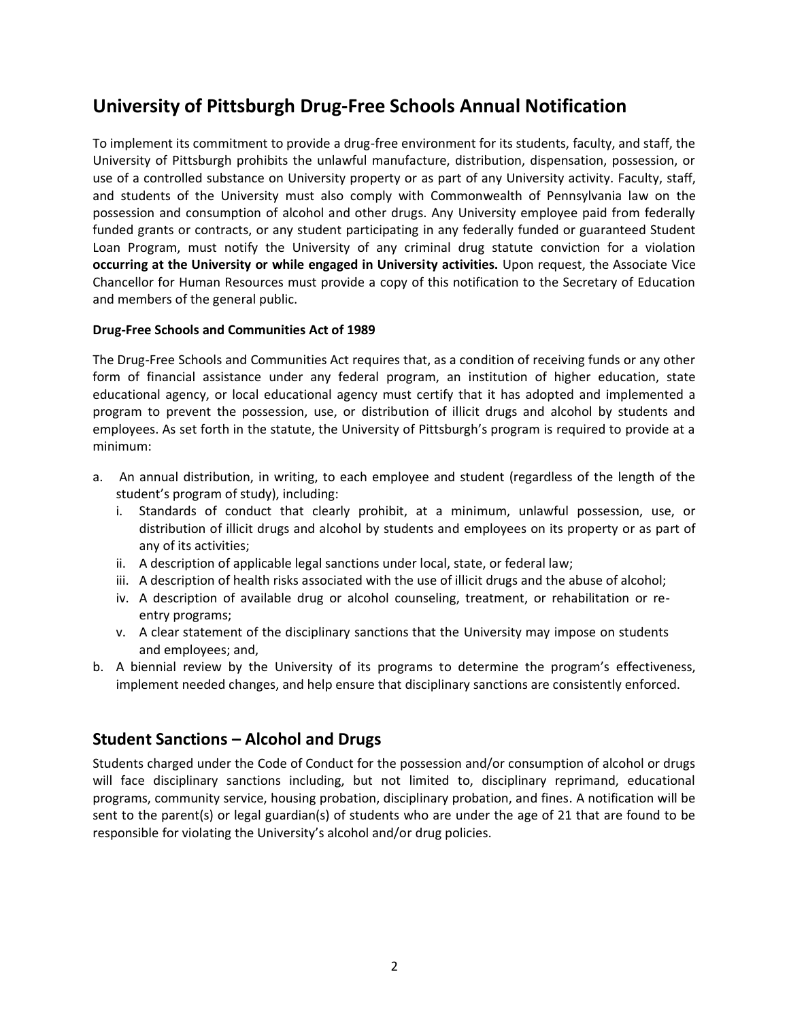# **University of Pittsburgh Drug-Free Schools Annual Notification**

To implement its commitment to provide a drug-free environment for its students, faculty, and staff, the University of Pittsburgh prohibits the unlawful manufacture, distribution, dispensation, possession, or use of a controlled substance on University property or as part of any University activity. Faculty, staff, and students of the University must also comply with Commonwealth of Pennsylvania law on the possession and consumption of alcohol and other drugs. Any University employee paid from federally funded grants or contracts, or any student participating in any federally funded or guaranteed Student Loan Program, must notify the University of any criminal drug statute conviction for a violation **occurring at the University or while engaged in University activities.** Upon request, the Associate Vice Chancellor for Human Resources must provide a copy of this notification to the Secretary of Education and members of the general public.

#### **Drug-Free Schools and Communities Act of 1989**

The Drug-Free Schools and Communities Act requires that, as a condition of receiving funds or any other form of financial assistance under any federal program, an institution of higher education, state educational agency, or local educational agency must certify that it has adopted and implemented a program to prevent the possession, use, or distribution of illicit drugs and alcohol by students and employees. As set forth in the statute, the University of Pittsburgh's program is required to provide at a minimum:

- a. An annual distribution, in writing, to each employee and student (regardless of the length of the student's program of study), including:
	- i. Standards of conduct that clearly prohibit, at a minimum, unlawful possession, use, or distribution of illicit drugs and alcohol by students and employees on its property or as part of any of its activities;
	- ii. A description of applicable legal sanctions under local, state, or federal law;
	- iii. A description of health risks associated with the use of illicit drugs and the abuse of alcohol;
	- iv. A description of available drug or alcohol counseling, treatment, or rehabilitation or reentry programs;
	- v. A clear statement of the disciplinary sanctions that the University may impose on students and employees; and,
- b. A biennial review by the University of its programs to determine the program's effectiveness, implement needed changes, and help ensure that disciplinary sanctions are consistently enforced.

#### **Student Sanctions – Alcohol and Drugs**

Students charged under the Code of Conduct for the possession and/or consumption of alcohol or drugs will face disciplinary sanctions including, but not limited to, disciplinary reprimand, educational programs, community service, housing probation, disciplinary probation, and fines. A notification will be sent to the parent(s) or legal guardian(s) of students who are under the age of 21 that are found to be responsible for violating the University's alcohol and/or drug policies.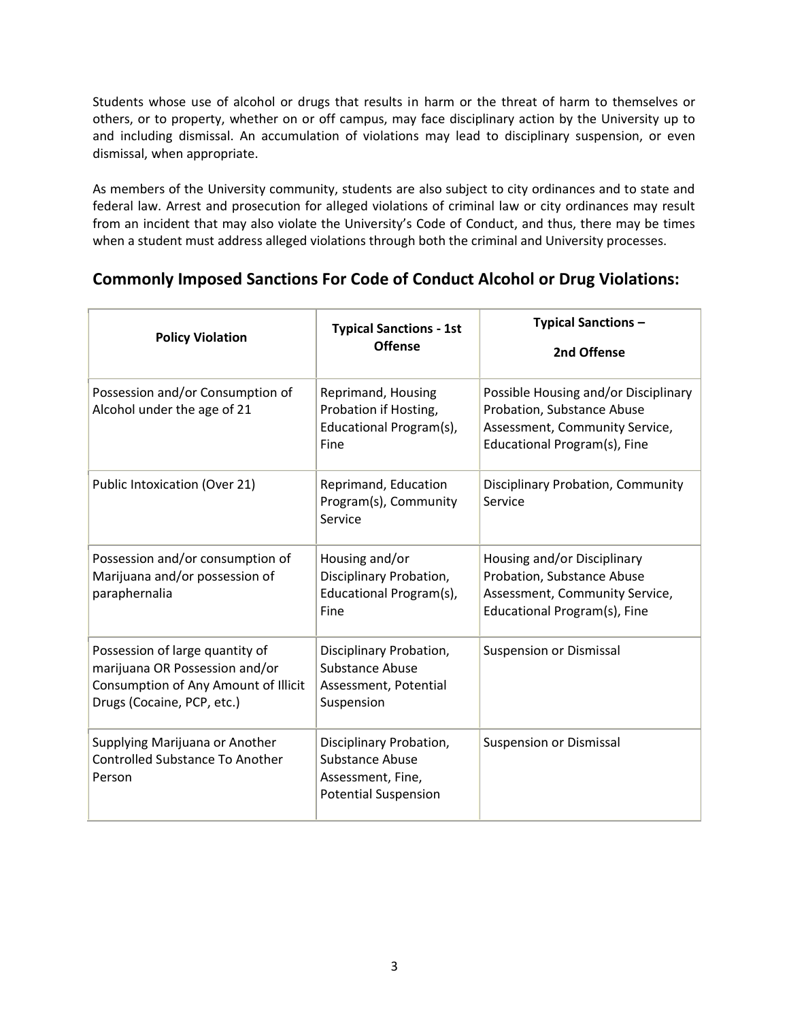Students whose use of alcohol or drugs that results in harm or the threat of harm to themselves or others, or to property, whether on or off campus, may face disciplinary action by the University up to and including dismissal. An accumulation of violations may lead to disciplinary suspension, or even dismissal, when appropriate.

As members of the University community, students are also subject to city ordinances and to state and federal law. Arrest and prosecution for alleged violations of criminal law or city ordinances may result from an incident that may also violate the University's Code of Conduct, and thus, there may be times when a student must address alleged violations through both the criminal and University processes.

### **Commonly Imposed Sanctions For Code of Conduct Alcohol or Drug Violations:**

| <b>Policy Violation</b>                                                                                                                 | <b>Typical Sanctions - 1st</b><br><b>Offense</b>                                                      | <b>Typical Sanctions -</b><br>2nd Offense                                                                                            |
|-----------------------------------------------------------------------------------------------------------------------------------------|-------------------------------------------------------------------------------------------------------|--------------------------------------------------------------------------------------------------------------------------------------|
| Possession and/or Consumption of<br>Alcohol under the age of 21                                                                         | Reprimand, Housing<br>Probation if Hosting,<br>Educational Program(s),<br>Fine                        | Possible Housing and/or Disciplinary<br>Probation, Substance Abuse<br>Assessment, Community Service,<br>Educational Program(s), Fine |
| Public Intoxication (Over 21)                                                                                                           | Reprimand, Education<br>Program(s), Community<br>Service                                              | Disciplinary Probation, Community<br>Service                                                                                         |
| Possession and/or consumption of<br>Marijuana and/or possession of<br>paraphernalia                                                     | Housing and/or<br>Disciplinary Probation,<br>Educational Program(s),<br>Fine                          | Housing and/or Disciplinary<br>Probation, Substance Abuse<br>Assessment, Community Service,<br>Educational Program(s), Fine          |
| Possession of large quantity of<br>marijuana OR Possession and/or<br>Consumption of Any Amount of Illicit<br>Drugs (Cocaine, PCP, etc.) | Disciplinary Probation,<br><b>Substance Abuse</b><br>Assessment, Potential<br>Suspension              | <b>Suspension or Dismissal</b>                                                                                                       |
| Supplying Marijuana or Another<br><b>Controlled Substance To Another</b><br>Person                                                      | Disciplinary Probation,<br><b>Substance Abuse</b><br>Assessment, Fine,<br><b>Potential Suspension</b> | <b>Suspension or Dismissal</b>                                                                                                       |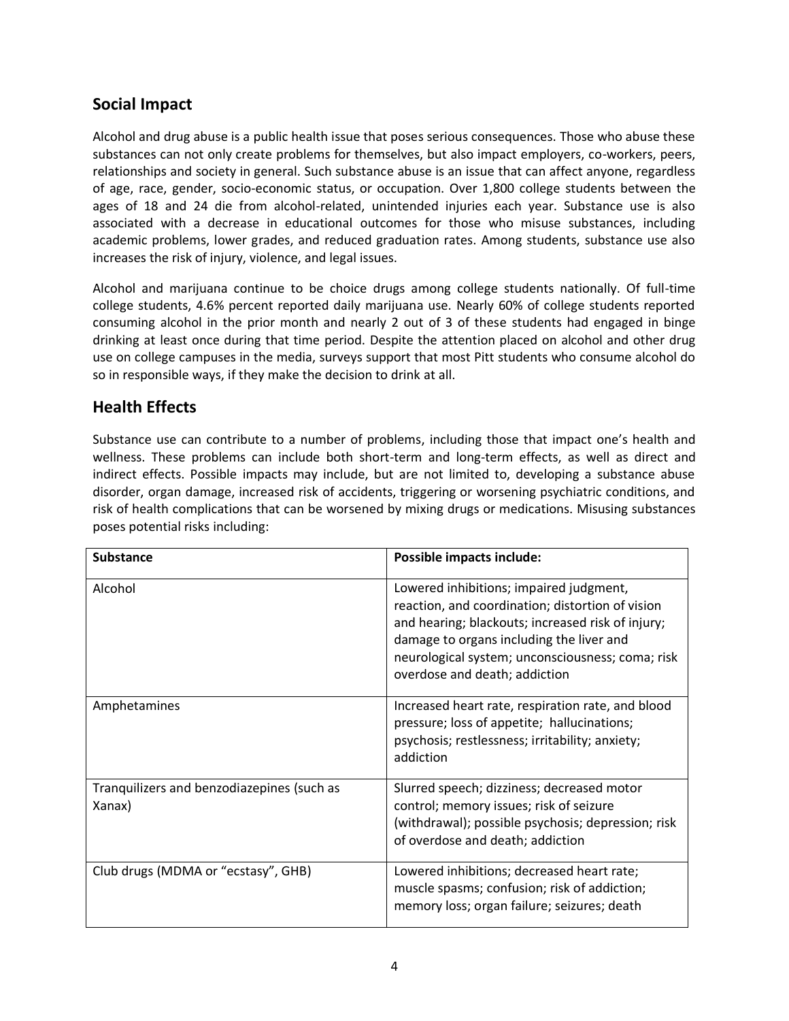## **Social Impact**

Alcohol and drug abuse is a public health issue that poses serious consequences. Those who abuse these substances can not only create problems for themselves, but also impact employers, co-workers, peers, relationships and society in general. Such substance abuse is an issue that can affect anyone, regardless of age, race, gender, socio-economic status, or occupation. Over 1,800 college students between the ages of 18 and 24 die from alcohol-related, unintended injuries each year. Substance use is also associated with a decrease in educational outcomes for those who misuse substances, including academic problems, lower grades, and reduced graduation rates. Among students, substance use also increases the risk of injury, violence, and legal issues.

Alcohol and marijuana continue to be choice drugs among college students nationally. Of full-time college students, 4.6% percent reported daily marijuana use. Nearly 60% of college students reported consuming alcohol in the prior month and nearly 2 out of 3 of these students had engaged in binge drinking at least once during that time period. Despite the attention placed on alcohol and other drug use on college campuses in the media, surveys support that most Pitt students who consume alcohol do so in responsible ways, if they make the decision to drink at all.

#### **Health Effects**

Substance use can contribute to a number of problems, including those that impact one's health and wellness. These problems can include both short-term and long-term effects, as well as direct and indirect effects. Possible impacts may include, but are not limited to, developing a substance abuse disorder, organ damage, increased risk of accidents, triggering or worsening psychiatric conditions, and risk of health complications that can be worsened by mixing drugs or medications. Misusing substances poses potential risks including:

| <b>Substance</b>                                     | Possible impacts include:                                                                                                                                                                                                                                                         |
|------------------------------------------------------|-----------------------------------------------------------------------------------------------------------------------------------------------------------------------------------------------------------------------------------------------------------------------------------|
| Alcohol                                              | Lowered inhibitions; impaired judgment,<br>reaction, and coordination; distortion of vision<br>and hearing; blackouts; increased risk of injury;<br>damage to organs including the liver and<br>neurological system; unconsciousness; coma; risk<br>overdose and death; addiction |
| Amphetamines                                         | Increased heart rate, respiration rate, and blood<br>pressure; loss of appetite; hallucinations;<br>psychosis; restlessness; irritability; anxiety;<br>addiction                                                                                                                  |
| Tranquilizers and benzodiazepines (such as<br>Xanax) | Slurred speech; dizziness; decreased motor<br>control; memory issues; risk of seizure<br>(withdrawal); possible psychosis; depression; risk<br>of overdose and death; addiction                                                                                                   |
| Club drugs (MDMA or "ecstasy", GHB)                  | Lowered inhibitions; decreased heart rate;<br>muscle spasms; confusion; risk of addiction;<br>memory loss; organ failure; seizures; death                                                                                                                                         |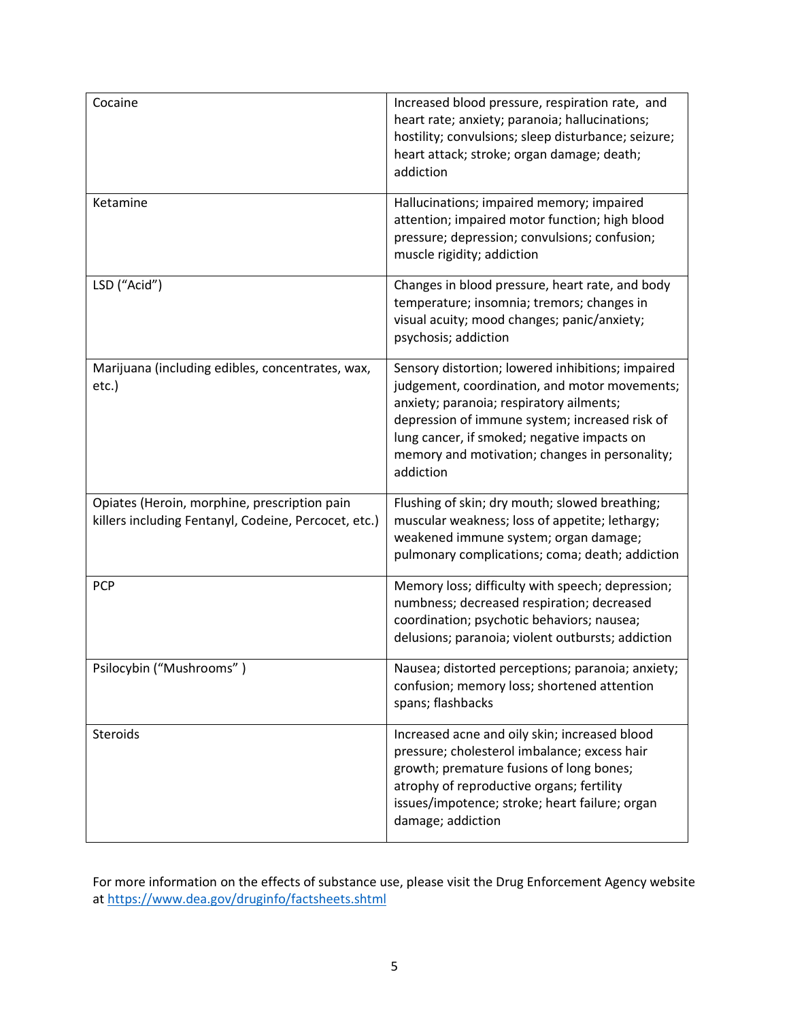| Cocaine                                                                                              | Increased blood pressure, respiration rate, and<br>heart rate; anxiety; paranoia; hallucinations;<br>hostility; convulsions; sleep disturbance; seizure;<br>heart attack; stroke; organ damage; death;<br>addiction                                                                                            |
|------------------------------------------------------------------------------------------------------|----------------------------------------------------------------------------------------------------------------------------------------------------------------------------------------------------------------------------------------------------------------------------------------------------------------|
| Ketamine                                                                                             | Hallucinations; impaired memory; impaired<br>attention; impaired motor function; high blood<br>pressure; depression; convulsions; confusion;<br>muscle rigidity; addiction                                                                                                                                     |
| LSD ("Acid")                                                                                         | Changes in blood pressure, heart rate, and body<br>temperature; insomnia; tremors; changes in<br>visual acuity; mood changes; panic/anxiety;<br>psychosis; addiction                                                                                                                                           |
| Marijuana (including edibles, concentrates, wax,<br>etc.)                                            | Sensory distortion; lowered inhibitions; impaired<br>judgement, coordination, and motor movements;<br>anxiety; paranoia; respiratory ailments;<br>depression of immune system; increased risk of<br>lung cancer, if smoked; negative impacts on<br>memory and motivation; changes in personality;<br>addiction |
| Opiates (Heroin, morphine, prescription pain<br>killers including Fentanyl, Codeine, Percocet, etc.) | Flushing of skin; dry mouth; slowed breathing;<br>muscular weakness; loss of appetite; lethargy;<br>weakened immune system; organ damage;<br>pulmonary complications; coma; death; addiction                                                                                                                   |
| <b>PCP</b>                                                                                           | Memory loss; difficulty with speech; depression;<br>numbness; decreased respiration; decreased<br>coordination; psychotic behaviors; nausea;<br>delusions; paranoia; violent outbursts; addiction                                                                                                              |
| Psilocybin ("Mushrooms")                                                                             | Nausea; distorted perceptions; paranoia; anxiety;<br>confusion; memory loss; shortened attention<br>spans; flashbacks                                                                                                                                                                                          |
| Steroids                                                                                             | Increased acne and oily skin; increased blood<br>pressure; cholesterol imbalance; excess hair<br>growth; premature fusions of long bones;<br>atrophy of reproductive organs; fertility<br>issues/impotence; stroke; heart failure; organ<br>damage; addiction                                                  |

For more information on the effects of substance use, please visit the Drug Enforcement Agency website at<https://www.dea.gov/druginfo/factsheets.shtml>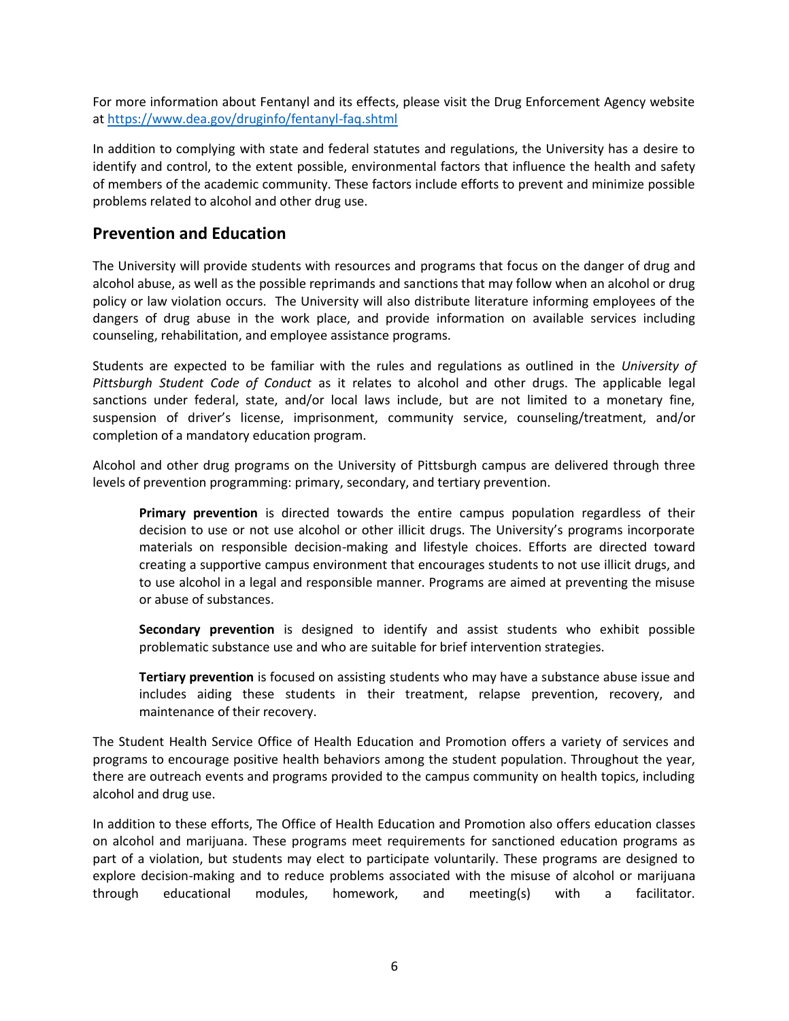For more information about Fentanyl and its effects, please visit the Drug Enforcement Agency website at<https://www.dea.gov/druginfo/fentanyl-faq.shtml>

In addition to complying with state and federal statutes and regulations, the University has a desire to identify and control, to the extent possible, environmental factors that influence the health and safety of members of the academic community. These factors include efforts to prevent and minimize possible problems related to alcohol and other drug use.

#### **Prevention and Education**

The University will provide students with resources and programs that focus on the danger of drug and alcohol abuse, as well as the possible reprimands and sanctions that may follow when an alcohol or drug policy or law violation occurs. The University will also distribute literature informing employees of the dangers of drug abuse in the work place, and provide information on available services including counseling, rehabilitation, and employee assistance programs.

Students are expected to be familiar with the rules and regulations as outlined in the *University of Pittsburgh Student Code of Conduct* as it relates to alcohol and other drugs. The applicable legal sanctions under federal, state, and/or local laws include, but are not limited to a monetary fine, suspension of driver's license, imprisonment, community service, counseling/treatment, and/or completion of a mandatory education program.

Alcohol and other drug programs on the University of Pittsburgh campus are delivered through three levels of prevention programming: primary, secondary, and tertiary prevention.

**Primary prevention** is directed towards the entire campus population regardless of their decision to use or not use alcohol or other illicit drugs. The University's programs incorporate materials on responsible decision-making and lifestyle choices. Efforts are directed toward creating a supportive campus environment that encourages students to not use illicit drugs, and to use alcohol in a legal and responsible manner. Programs are aimed at preventing the misuse or abuse of substances.

**Secondary prevention** is designed to identify and assist students who exhibit possible problematic substance use and who are suitable for brief intervention strategies.

**Tertiary prevention** is focused on assisting students who may have a substance abuse issue and includes aiding these students in their treatment, relapse prevention, recovery, and maintenance of their recovery.

The Student Health Service Office of Health Education and Promotion offers a variety of services and programs to encourage positive health behaviors among the student population. Throughout the year, there are outreach events and programs provided to the campus community on health topics, including alcohol and drug use.

In addition to these efforts, The Office of Health Education and Promotion also offers education classes on alcohol and marijuana. These programs meet requirements for sanctioned education programs as part of a violation, but students may elect to participate voluntarily. These programs are designed to explore decision-making and to reduce problems associated with the misuse of alcohol or marijuana through educational modules, homework, and meeting(s) with a facilitator.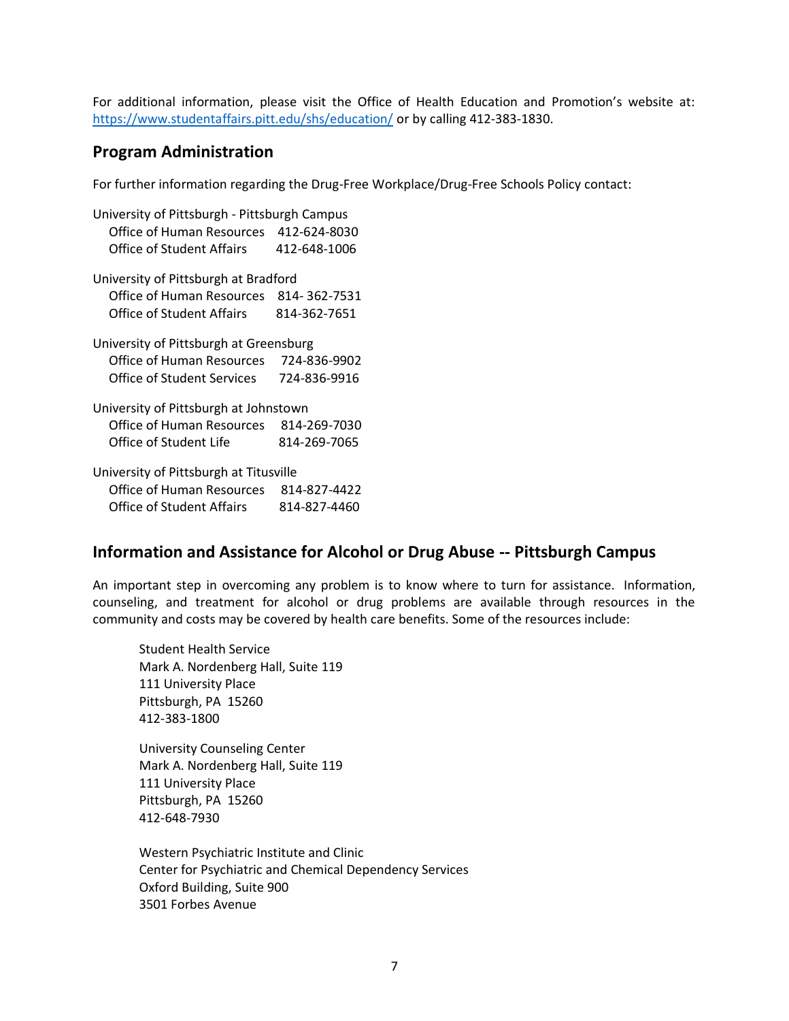For additional information, please visit the Office of Health Education and Promotion's website at: <https://www.studentaffairs.pitt.edu/shs/education/> or by calling 412-383-1830.

#### **Program Administration**

For further information regarding the Drug-Free Workplace/Drug-Free Schools Policy contact:

University of Pittsburgh - Pittsburgh Campus Office of Human Resources 412-624-8030 Office of Student Affairs 412-648-1006 University of Pittsburgh at Bradford Office of Human Resources 814- 362-7531 Office of Student Affairs 814-362-7651 University of Pittsburgh at Greensburg Office of Human Resources 724-836-9902 Office of Student Services 724-836-9916 University of Pittsburgh at Johnstown Office of Human Resources 814-269-7030 Office of Student Life 814-269-7065 University of Pittsburgh at Titusville Office of Human Resources 814-827-4422 Office of Student Affairs 814-827-4460

#### **Information and Assistance for Alcohol or Drug Abuse -- Pittsburgh Campus**

An important step in overcoming any problem is to know where to turn for assistance. Information, counseling, and treatment for alcohol or drug problems are available through resources in the community and costs may be covered by health care benefits. Some of the resources include:

Student Health Service Mark A. Nordenberg Hall, Suite 119 111 University Place Pittsburgh, PA 15260 412-383-1800

University Counseling Center Mark A. Nordenberg Hall, Suite 119 111 University Place Pittsburgh, PA 15260 412-648-7930

Western Psychiatric Institute and Clinic Center for Psychiatric and Chemical Dependency Services Oxford Building, Suite 900 3501 Forbes Avenue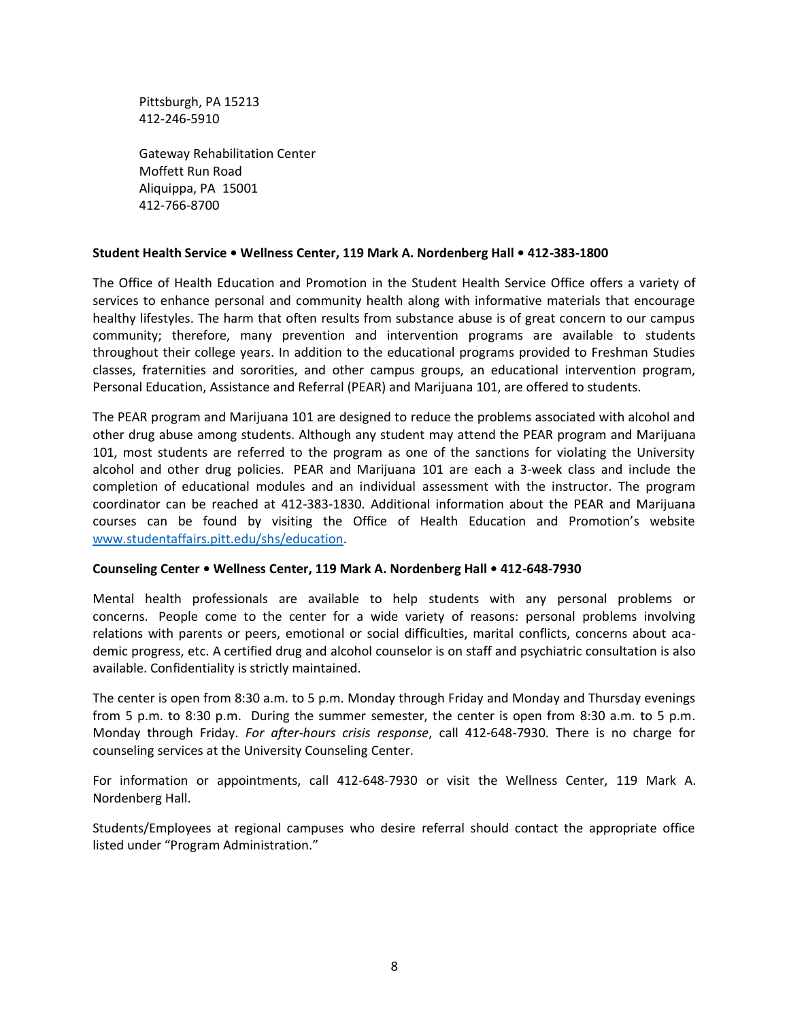Pittsburgh, PA 15213 412-246-5910

Gateway Rehabilitation Center Moffett Run Road Aliquippa, PA 15001 412-766-8700

#### **Student Health Service • Wellness Center, 119 Mark A. Nordenberg Hall • 412-383-1800**

The Office of Health Education and Promotion in the Student Health Service Office offers a variety of services to enhance personal and community health along with informative materials that encourage healthy lifestyles. The harm that often results from substance abuse is of great concern to our campus community; therefore, many prevention and intervention programs are available to students throughout their college years. In addition to the educational programs provided to Freshman Studies classes, fraternities and sororities, and other campus groups, an educational intervention program, Personal Education, Assistance and Referral (PEAR) and Marijuana 101, are offered to students.

The PEAR program and Marijuana 101 are designed to reduce the problems associated with alcohol and other drug abuse among students. Although any student may attend the PEAR program and Marijuana 101, most students are referred to the program as one of the sanctions for violating the University alcohol and other drug policies. PEAR and Marijuana 101 are each a 3-week class and include the completion of educational modules and an individual assessment with the instructor. The program coordinator can be reached at 412-383-1830. Additional information about the PEAR and Marijuana courses can be found by visiting the Office of Health Education and Promotion's website [www.studentaffairs.pitt.edu/shs/education.](http://www.studentaffairs.pitt.edu/shs/education)

#### **Counseling Center • Wellness Center, 119 Mark A. Nordenberg Hall • 412-648-7930**

Mental health professionals are available to help students with any personal problems or concerns. People come to the center for a wide variety of reasons: personal problems involving relations with parents or peers, emotional or social difficulties, marital conflicts, concerns about academic progress, etc. A certified drug and alcohol counselor is on staff and psychiatric consultation is also available. Confidentiality is strictly maintained.

The center is open from 8:30 a.m. to 5 p.m. Monday through Friday and Monday and Thursday evenings from 5 p.m. to 8:30 p.m. During the summer semester, the center is open from 8:30 a.m. to 5 p.m. Monday through Friday. *For after-hours crisis response*, call 412-648-7930. There is no charge for counseling services at the University Counseling Center.

For information or appointments, call 412-648-7930 or visit the Wellness Center, 119 Mark A. Nordenberg Hall.

Students/Employees at regional campuses who desire referral should contact the appropriate office listed under "Program Administration."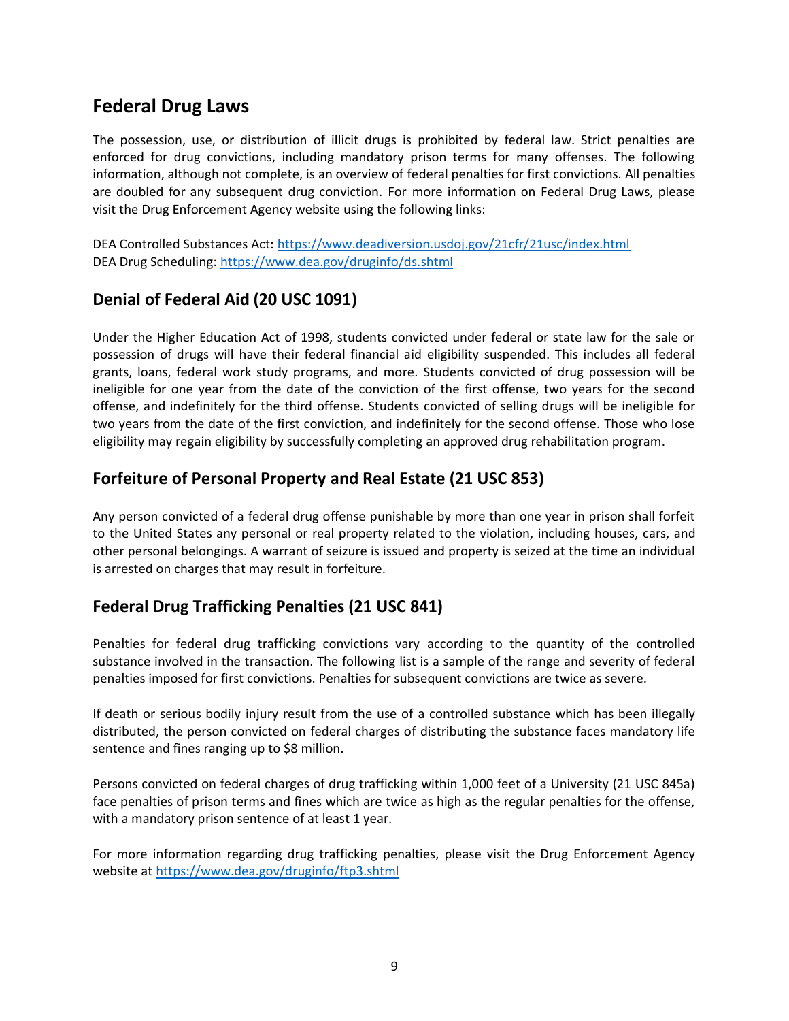# **Federal Drug Laws**

The possession, use, or distribution of illicit drugs is prohibited by federal law. Strict penalties are enforced for drug convictions, including mandatory prison terms for many offenses. The following information, although not complete, is an overview of federal penalties for first convictions. All penalties are doubled for any subsequent drug conviction. For more information on Federal Drug Laws, please visit the Drug Enforcement Agency website using the following links:

DEA Controlled Substances Act:<https://www.deadiversion.usdoj.gov/21cfr/21usc/index.html> DEA Drug Scheduling:<https://www.dea.gov/druginfo/ds.shtml>

### **Denial of Federal Aid (20 USC 1091)**

Under the Higher Education Act of 1998, students convicted under federal or state law for the sale or possession of drugs will have their federal financial aid eligibility suspended. This includes all federal grants, loans, federal work study programs, and more. Students convicted of drug possession will be ineligible for one year from the date of the conviction of the first offense, two years for the second offense, and indefinitely for the third offense. Students convicted of selling drugs will be ineligible for two years from the date of the first conviction, and indefinitely for the second offense. Those who lose eligibility may regain eligibility by successfully completing an approved drug rehabilitation program.

### **Forfeiture of Personal Property and Real Estate (21 USC 853)**

Any person convicted of a federal drug offense punishable by more than one year in prison shall forfeit to the United States any personal or real property related to the violation, including houses, cars, and other personal belongings. A warrant of seizure is issued and property is seized at the time an individual is arrested on charges that may result in forfeiture.

## **Federal Drug Trafficking Penalties (21 USC 841)**

Penalties for federal drug trafficking convictions vary according to the quantity of the controlled substance involved in the transaction. The following list is a sample of the range and severity of federal penalties imposed for first convictions. Penalties for subsequent convictions are twice as severe.

If death or serious bodily injury result from the use of a controlled substance which has been illegally distributed, the person convicted on federal charges of distributing the substance faces mandatory life sentence and fines ranging up to \$8 million.

Persons convicted on federal charges of drug trafficking within 1,000 feet of a University (21 USC 845a) face penalties of prison terms and fines which are twice as high as the regular penalties for the offense, with a mandatory prison sentence of at least 1 year.

For more information regarding drug trafficking penalties, please visit the Drug Enforcement Agency website at<https://www.dea.gov/druginfo/ftp3.shtml>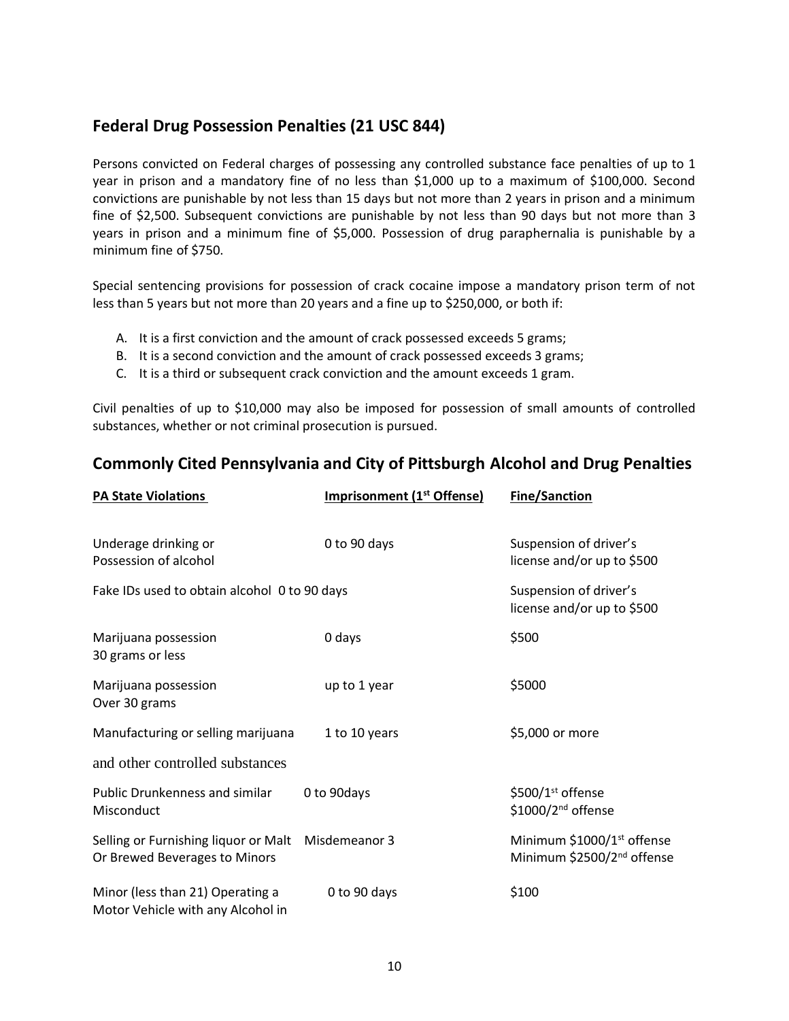### **Federal Drug Possession Penalties (21 USC 844)**

Persons convicted on Federal charges of possessing any controlled substance face penalties of up to 1 year in prison and a mandatory fine of no less than \$1,000 up to a maximum of \$100,000. Second convictions are punishable by not less than 15 days but not more than 2 years in prison and a minimum fine of \$2,500. Subsequent convictions are punishable by not less than 90 days but not more than 3 years in prison and a minimum fine of \$5,000. Possession of drug paraphernalia is punishable by a minimum fine of \$750.

Special sentencing provisions for possession of crack cocaine impose a mandatory prison term of not less than 5 years but not more than 20 years and a fine up to \$250,000, or both if:

- A. It is a first conviction and the amount of crack possessed exceeds 5 grams;
- B. It is a second conviction and the amount of crack possessed exceeds 3 grams;
- C. It is a third or subsequent crack conviction and the amount exceeds 1 gram.

Civil penalties of up to \$10,000 may also be imposed for possession of small amounts of controlled substances, whether or not criminal prosecution is pursued.

### **Commonly Cited Pennsylvania and City of Pittsburgh Alcohol and Drug Penalties**

| <b>PA State Violations</b>                                            | <b>Imprisonment (1st Offense)</b> | <b>Fine/Sanction</b>                                                             |
|-----------------------------------------------------------------------|-----------------------------------|----------------------------------------------------------------------------------|
| Underage drinking or<br>Possession of alcohol                         | 0 to 90 days                      | Suspension of driver's<br>license and/or up to \$500                             |
| Fake IDs used to obtain alcohol 0 to 90 days                          |                                   | Suspension of driver's<br>license and/or up to \$500                             |
| Marijuana possession<br>30 grams or less                              | 0 days                            | \$500                                                                            |
| Marijuana possession<br>Over 30 grams                                 | up to 1 year                      | \$5000                                                                           |
| Manufacturing or selling marijuana                                    | 1 to 10 years                     | \$5,000 or more                                                                  |
| and other controlled substances                                       |                                   |                                                                                  |
| Public Drunkenness and similar<br>Misconduct                          | 0 to 90 days                      | \$500/1 <sup>st</sup> offense<br>\$1000/2 <sup>nd</sup> offense                  |
| Selling or Furnishing liquor or Malt<br>Or Brewed Beverages to Minors | Misdemeanor 3                     | Minimum \$1000/1 <sup>st</sup> offense<br>Minimum \$2500/2 <sup>nd</sup> offense |
| Minor (less than 21) Operating a<br>Motor Vehicle with any Alcohol in | 0 to 90 days                      | \$100                                                                            |